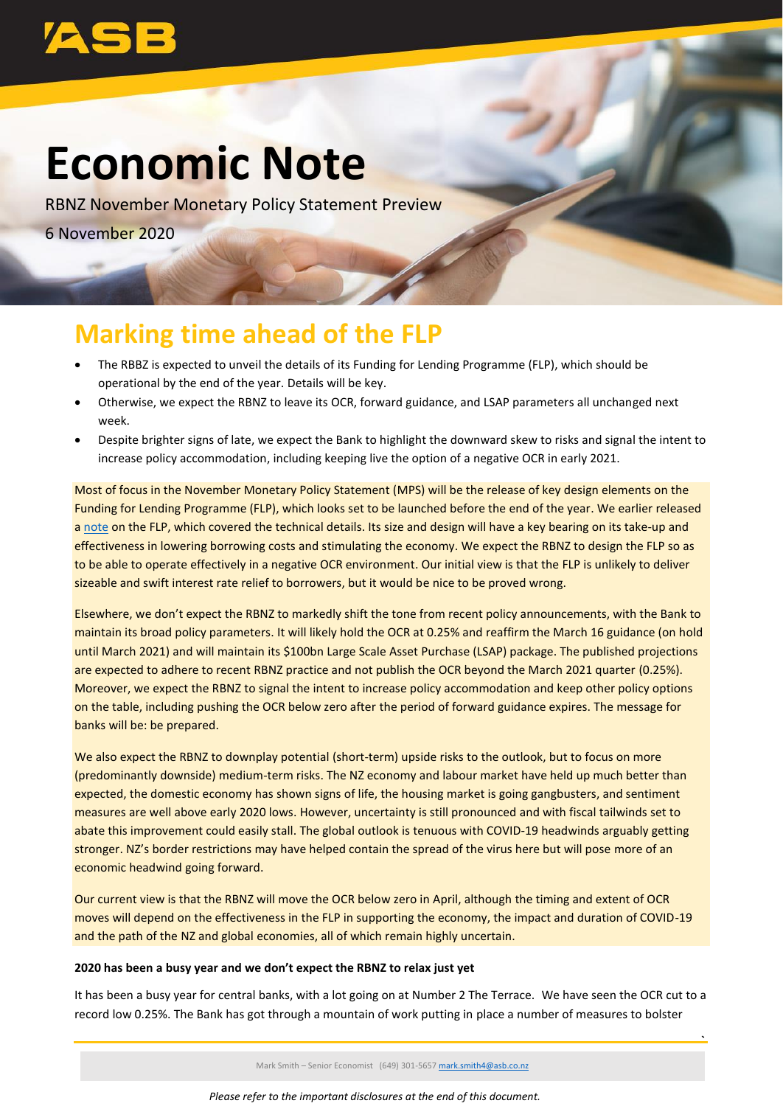

# **Economic Note**

RBNZ November Monetary Policy Statement Preview 6 November 2020

# **Marking time ahead of the FLP**

- The RBBZ is expected to unveil the details of its Funding for Lending Programme (FLP), which should be operational by the end of the year. Details will be key.
- Otherwise, we expect the RBNZ to leave its OCR, forward guidance, and LSAP parameters all unchanged next week.
- Despite brighter signs of late, we expect the Bank to highlight the downward skew to risks and signal the intent to increase policy accommodation, including keeping live the option of a negative OCR in early 2021.

Most of focus in the November Monetary Policy Statement (MPS) will be the release of key design elements on the Funding for Lending Programme (FLP), which looks set to be launched before the end of the year. We earlier released a [note](https://www.asb.co.nz/content/dam/asb/documents/reports/economic-note/FLP.pdf) on the FLP, which covered the technical details. Its size and design will have a key bearing on its take-up and effectiveness in lowering borrowing costs and stimulating the economy. We expect the RBNZ to design the FLP so as to be able to operate effectively in a negative OCR environment. Our initial view is that the FLP is unlikely to deliver sizeable and swift interest rate relief to borrowers, but it would be nice to be proved wrong.

Elsewhere, we don't expect the RBNZ to markedly shift the tone from recent policy announcements, with the Bank to maintain its broad policy parameters. It will likely hold the OCR at 0.25% and reaffirm the March 16 guidance (on hold until March 2021) and will maintain its \$100bn Large Scale Asset Purchase (LSAP) package. The published projections are expected to adhere to recent RBNZ practice and not publish the OCR beyond the March 2021 quarter (0.25%). Moreover, we expect the RBNZ to signal the intent to increase policy accommodation and keep other policy options on the table, including pushing the OCR below zero after the period of forward guidance expires. The message for banks will be: be prepared.

We also expect the RBNZ to downplay potential (short-term) upside risks to the outlook, but to focus on more (predominantly downside) medium-term risks. The NZ economy and labour market have held up much better than expected, the domestic economy has shown signs of life, the housing market is going gangbusters, and sentiment measures are well above early 2020 lows. However, uncertainty is still pronounced and with fiscal tailwinds set to abate this improvement could easily stall. The global outlook is tenuous with COVID-19 headwinds arguably getting stronger. NZ's border restrictions may have helped contain the spread of the virus here but will pose more of an economic headwind going forward.

Our current view is that the RBNZ will move the OCR below zero in April, although the timing and extent of OCR moves will depend on the effectiveness in the FLP in supporting the economy, the impact and duration of COVID-19 and the path of the NZ and global economies, all of which remain highly uncertain.

### **2020 has been a busy year and we don't expect the RBNZ to relax just yet**

It has been a busy year for central banks, with a lot going on at Number 2 The Terrace. We have seen the OCR cut to a record low 0.25%. The Bank has got through a mountain of work putting in place a number of measures to bolster

Mark Smith – Senior Economist (649) 301-5657 [mark.smith4@asb.co.nz](mailto:mark.smith4@asb.co.nz)

**`**

*Please refer to the important disclosures at the end of this document.*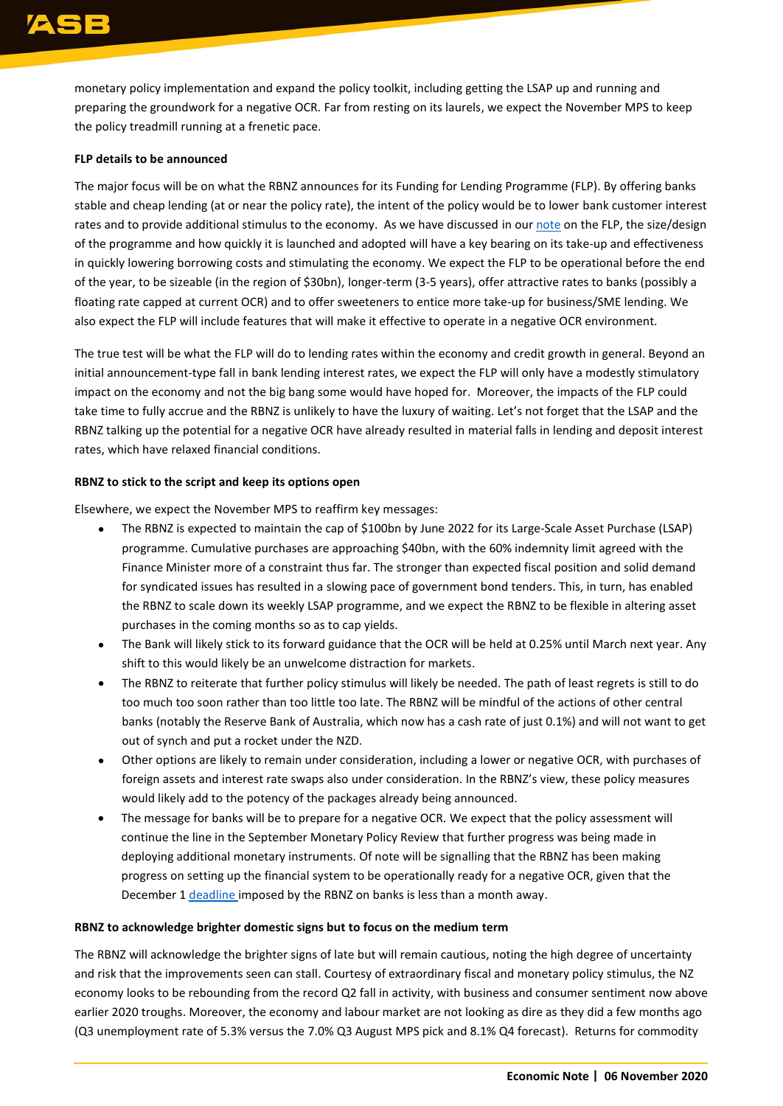monetary policy implementation and expand the policy toolkit, including getting the LSAP up and running and preparing the groundwork for a negative OCR. Far from resting on its laurels, we expect the November MPS to keep the policy treadmill running at a frenetic pace.

## **FLP details to be announced**

The major focus will be on what the RBNZ announces for its Funding for Lending Programme (FLP). By offering banks stable and cheap lending (at or near the policy rate), the intent of the policy would be to lower bank customer interest rates and to provide additional stimulus to the economy. As we have discussed in ou[r note](https://www.asb.co.nz/content/dam/asb/documents/reports/economic-note/FLP.pdf) on the FLP, the size/design of the programme and how quickly it is launched and adopted will have a key bearing on its take-up and effectiveness in quickly lowering borrowing costs and stimulating the economy. We expect the FLP to be operational before the end of the year, to be sizeable (in the region of \$30bn), longer-term (3-5 years), offer attractive rates to banks (possibly a floating rate capped at current OCR) and to offer sweeteners to entice more take-up for business/SME lending. We also expect the FLP will include features that will make it effective to operate in a negative OCR environment.

The true test will be what the FLP will do to lending rates within the economy and credit growth in general. Beyond an initial announcement-type fall in bank lending interest rates, we expect the FLP will only have a modestly stimulatory impact on the economy and not the big bang some would have hoped for. Moreover, the impacts of the FLP could take time to fully accrue and the RBNZ is unlikely to have the luxury of waiting. Let's not forget that the LSAP and the RBNZ talking up the potential for a negative OCR have already resulted in material falls in lending and deposit interest rates, which have relaxed financial conditions.

### **RBNZ to stick to the script and keep its options open**

Elsewhere, we expect the November MPS to reaffirm key messages:

- The RBNZ is expected to maintain the cap of \$100bn by June 2022 for its Large-Scale Asset Purchase (LSAP) programme. Cumulative purchases are approaching \$40bn, with the 60% indemnity limit agreed with the Finance Minister more of a constraint thus far. The stronger than expected fiscal position and solid demand for syndicated issues has resulted in a slowing pace of government bond tenders. This, in turn, has enabled the RBNZ to scale down its weekly LSAP programme, and we expect the RBNZ to be flexible in altering asset purchases in the coming months so as to cap yields.
- The Bank will likely stick to its forward guidance that the OCR will be held at 0.25% until March next year. Any shift to this would likely be an unwelcome distraction for markets.
- The RBNZ to reiterate that further policy stimulus will likely be needed. The path of least regrets is still to do too much too soon rather than too little too late. The RBNZ will be mindful of the actions of other central banks (notably the Reserve Bank of Australia, which now has a cash rate of just 0.1%) and will not want to get out of synch and put a rocket under the NZD.
- Other options are likely to remain under consideration, including a lower or negative OCR, with purchases of foreign assets and interest rate swaps also under consideration. In the RBNZ's view, these policy measures would likely add to the potency of the packages already being announced.
- The message for banks will be to prepare for a negative OCR. We expect that the policy assessment will continue the line in the September Monetary Policy Review that further progress was being made in deploying additional monetary instruments. Of note will be signalling that the RBNZ has been making progress on setting up the financial system to be operationally ready for a negative OCR, given that the December 1 [deadline im](https://www.rbnz.govt.nz/-/media/ReserveBank/Files/Monetary%20policy/ump/May-2020-Letter-to-Banks-Negative-interest-rates.pdf?revision=19a9435a-f119-443c-90bb-999a4c1e51a0&la=en)posed by the RBNZ on banks is less than a month away.

### **RBNZ to acknowledge brighter domestic signs but to focus on the medium term**

The RBNZ will acknowledge the brighter signs of late but will remain cautious, noting the high degree of uncertainty and risk that the improvements seen can stall. Courtesy of extraordinary fiscal and monetary policy stimulus, the NZ economy looks to be rebounding from the record Q2 fall in activity, with business and consumer sentiment now above earlier 2020 troughs. Moreover, the economy and labour market are not looking as dire as they did a few months ago (Q3 unemployment rate of 5.3% versus the 7.0% Q3 August MPS pick and 8.1% Q4 forecast). Returns for commodity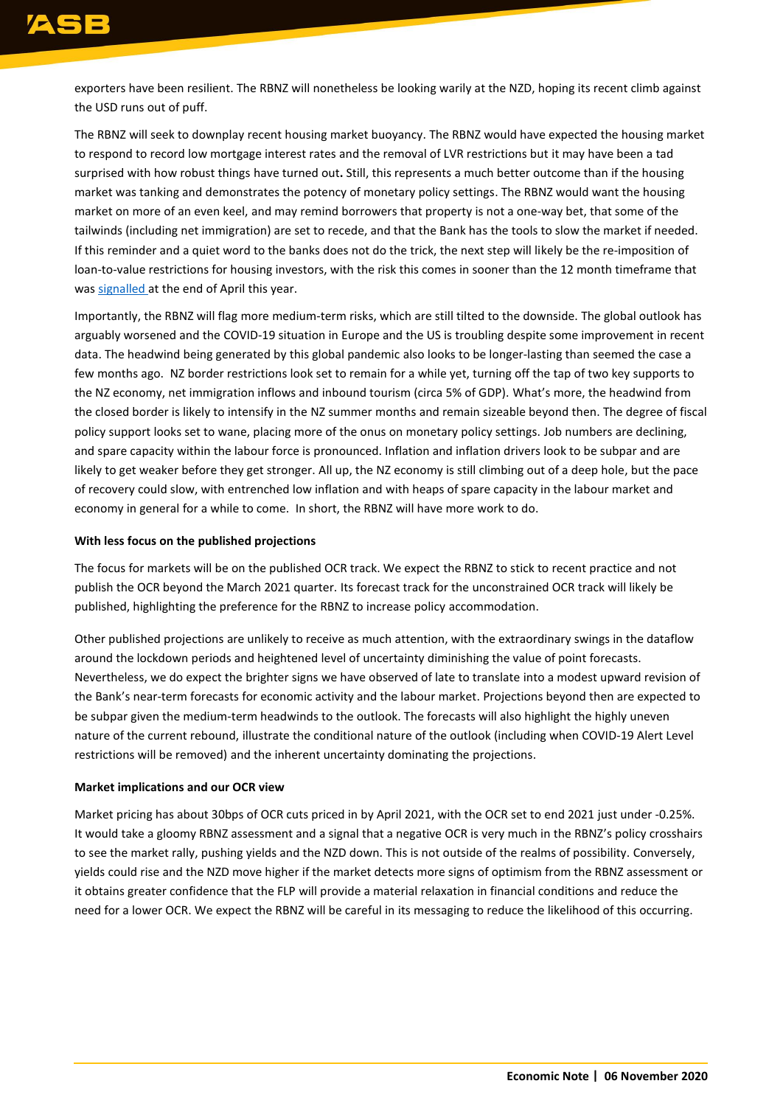exporters have been resilient. The RBNZ will nonetheless be looking warily at the NZD, hoping its recent climb against the USD runs out of puff.

The RBNZ will seek to downplay recent housing market buoyancy. The RBNZ would have expected the housing market to respond to record low mortgage interest rates and the removal of LVR restrictions but it may have been a tad surprised with how robust things have turned out**.** Still, this represents a much better outcome than if the housing market was tanking and demonstrates the potency of monetary policy settings. The RBNZ would want the housing market on more of an even keel, and may remind borrowers that property is not a one-way bet, that some of the tailwinds (including net immigration) are set to recede, and that the Bank has the tools to slow the market if needed. If this reminder and a quiet word to the banks does not do the trick, the next step will likely be the re-imposition of loan-to-value restrictions for housing investors, with the risk this comes in sooner than the 12 month timeframe that was [signalled](https://www.rbnz.govt.nz/news/2020/04/reserve-bank-removes-lvr-restrictions-for-12-months#:~:text=The%20Reserve%20Bank%20has%20today,to%20the%20COVID%2D19%20pandemic.) at the end of April this year.

Importantly, the RBNZ will flag more medium-term risks, which are still tilted to the downside. The global outlook has arguably worsened and the COVID-19 situation in Europe and the US is troubling despite some improvement in recent data. The headwind being generated by this global pandemic also looks to be longer-lasting than seemed the case a few months ago. NZ border restrictions look set to remain for a while yet, turning off the tap of two key supports to the NZ economy, net immigration inflows and inbound tourism (circa 5% of GDP). What's more, the headwind from the closed border is likely to intensify in the NZ summer months and remain sizeable beyond then. The degree of fiscal policy support looks set to wane, placing more of the onus on monetary policy settings. Job numbers are declining, and spare capacity within the labour force is pronounced. Inflation and inflation drivers look to be subpar and are likely to get weaker before they get stronger. All up, the NZ economy is still climbing out of a deep hole, but the pace of recovery could slow, with entrenched low inflation and with heaps of spare capacity in the labour market and economy in general for a while to come. In short, the RBNZ will have more work to do.

#### **With less focus on the published projections**

The focus for markets will be on the published OCR track. We expect the RBNZ to stick to recent practice and not publish the OCR beyond the March 2021 quarter. Its forecast track for the unconstrained OCR track will likely be published, highlighting the preference for the RBNZ to increase policy accommodation.

Other published projections are unlikely to receive as much attention, with the extraordinary swings in the dataflow around the lockdown periods and heightened level of uncertainty diminishing the value of point forecasts. Nevertheless, we do expect the brighter signs we have observed of late to translate into a modest upward revision of the Bank's near-term forecasts for economic activity and the labour market. Projections beyond then are expected to be subpar given the medium-term headwinds to the outlook. The forecasts will also highlight the highly uneven nature of the current rebound, illustrate the conditional nature of the outlook (including when COVID-19 Alert Level restrictions will be removed) and the inherent uncertainty dominating the projections.

### **Market implications and our OCR view**

Market pricing has about 30bps of OCR cuts priced in by April 2021, with the OCR set to end 2021 just under -0.25%. It would take a gloomy RBNZ assessment and a signal that a negative OCR is very much in the RBNZ's policy crosshairs to see the market rally, pushing yields and the NZD down. This is not outside of the realms of possibility. Conversely, yields could rise and the NZD move higher if the market detects more signs of optimism from the RBNZ assessment or it obtains greater confidence that the FLP will provide a material relaxation in financial conditions and reduce the need for a lower OCR. We expect the RBNZ will be careful in its messaging to reduce the likelihood of this occurring.